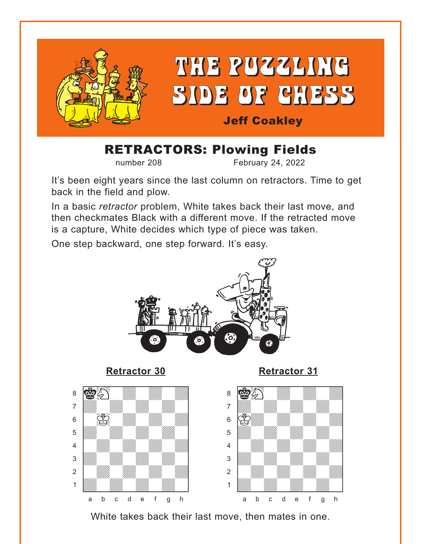<span id="page-0-0"></span>

# RETRACTORS: Plowing Fields

number 208 February 24, 2022

It's been eight years since the last column on retractors. Time to get back in the field and plow.

In a basic *retractor* problem, White takes back their last move, and then checkmates Black with a different move. If the retracted move is a capture, White decides which type of piece was taken.

One step backward, one step forward. It's easy.



**[Retractor 30](#page-7-0) [Retractor 31](#page-8-0)**







White takes back their last move, then mates in one.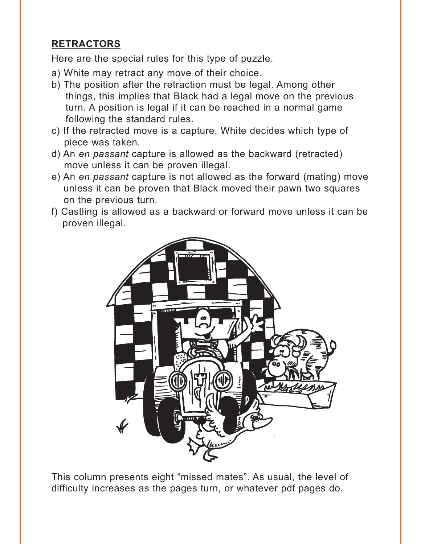# **RETRACTORS**

Here are the special rules for this type of puzzle.

- a) White may retract any move of their choice.
- b) The position after the retraction must be legal. Among other things, this implies that Black had a legal move on the previous turn. A position is legal if it can be reached in a normal game following the standard rules.
- c) If the retracted move is a capture, White decides which type of piece was taken.
- d) An *en passant* capture is allowed as the backward (retracted) move unless it can be proven illegal.
- e) An *en passant* capture is not allowed as the forward (mating) move unless it can be proven that Black moved their pawn two squares on the previous turn.
- f) Castling is allowed as a backward or forward move unless it can be proven illegal.



This column presents eight "missed mates". As usual, the level of difficulty increases as the pages turn, or whatever pdf pages do.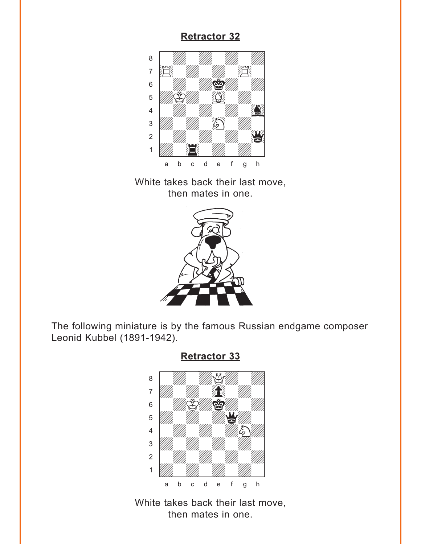<span id="page-2-0"></span>

White takes back their last move, then mates in one.



The following miniature is by the famous Russian endgame composer Leonid Kubbel (1891-1942).



**[Retractor 33](#page-9-0)**

White takes back their last move, then mates in one.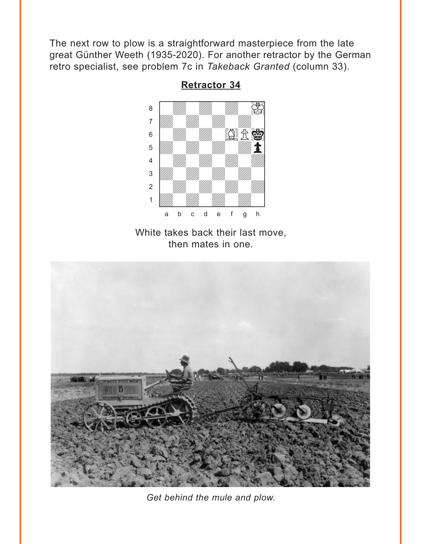<span id="page-3-0"></span>The next row to plow is a straightforward masterpiece from the late great Günther Weeth (1935-2020). For another retractor by the German retro specialist, see problem 7c in Takeback Granted (column 33).



**Retractor 34** 

White takes back their last move, then mates in one.



Get behind the mule and plow.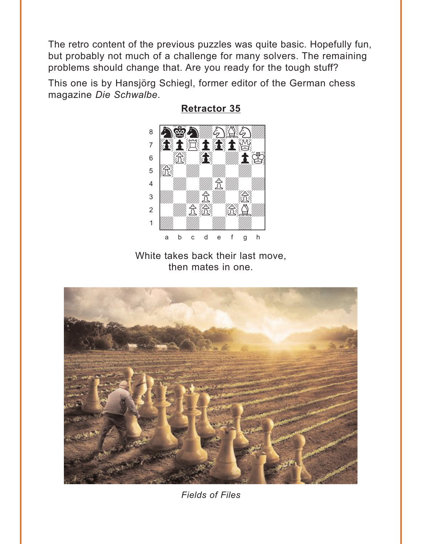<span id="page-4-0"></span>The retro content of the previous puzzles was quite basic. Hopefully fun, but probably not much of a challenge for many solvers. The remaining problems should change that. Are you ready for the tough stuff?

This one is by Hansjörg Schiegl, former editor of the German chess magazine Die Schwalbe.



**Retractor 35** 

White takes back their last move, then mates in one.



**Fields of Files**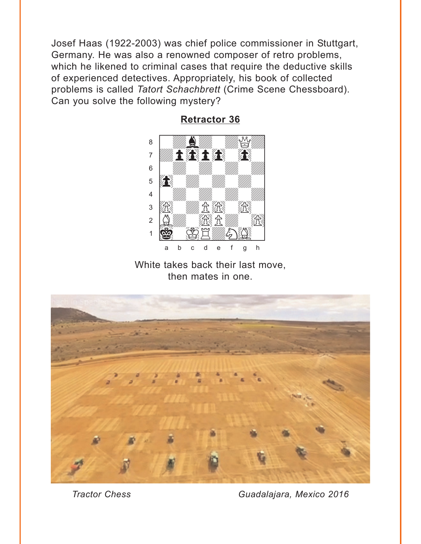<span id="page-5-0"></span>Josef Haas (1922-2003) was chief police commissioner in Stuttgart, Germany. He was also a renowned composer of retro problems, which he likened to criminal cases that require the deductive skills of experienced detectives. Appropriately, his book of collected problems is called Tatort Schachbrett (Crime Scene Chessboard). Can you solve the following mystery?



**Retractor 36** 

White takes back their last move, then mates in one.



**Tractor Chess** 

Guadalajara, Mexico 2016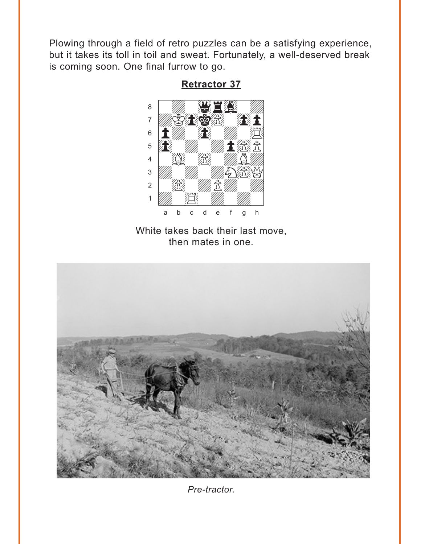<span id="page-6-0"></span>Plowing through a field of retro puzzles can be a satisfying experience, but it takes its toll in toil and sweat. Fortunately, a well-deserved break is coming soon. One final furrow to go.



**Retractor 37** 

White takes back their last move, then mates in one.



Pre-tractor.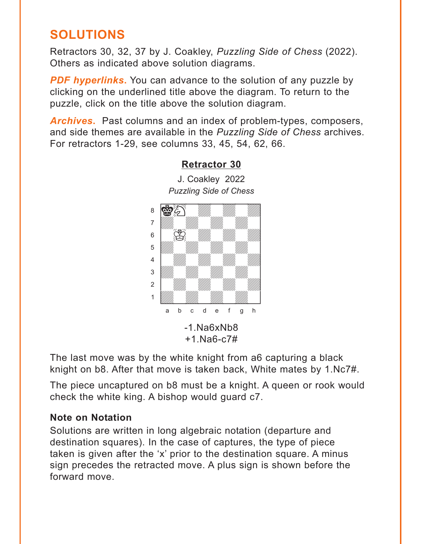# <span id="page-7-0"></span>**SOLUTIONS**

Retractors 30, 32, 37 by J. Coakley, *Puzzling Side of Chess* (2022). Others as indicated above solution diagrams.

**PDF hyperlinks.** You can advance to the solution of any puzzle by clicking on the underlined title above the diagram. To return to the puzzle, click on the title above the solution diagram.

*Archives***.** Past columns and an index of problem-types, composers, and side themes are available in the *Puzzling Side of Chess* archives. For retractors 1-29, see columns 33, 45, 54, 62, 66.



**[Retractor 30](#page-0-0)**

J. Coakley 2022

The last move was by the white knight from a6 capturing a black knight on b8. After that move is taken back, White mates by 1.Nc7#.

The piece uncaptured on b8 must be a knight. A queen or rook would check the white king. A bishop would guard c7.

#### **Note on Notation**

Solutions are written in long algebraic notation (departure and destination squares). In the case of captures, the type of piece taken is given after the 'x' prior to the destination square. A minus sign precedes the retracted move. A plus sign is shown before the forward move.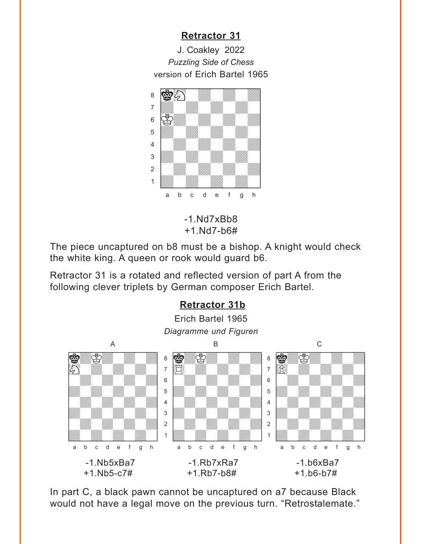<span id="page-8-0"></span>J. Coakley 2022 *Puzzling Side of Chess* version of Erich Bartel 1965



-1.Nd7xBb8 +1.Nd7-b6#

The piece uncaptured on b8 must be a bishop. A knight would check the white king. A queen or rook would guard b6.

Retractor 31 is a rotated and reflected version of part A from the following clever triplets by German composer Erich Bartel.



In part C, a black pawn cannot be uncaptured on a7 because Black would not have a legal move on the previous turn. "Retrostalemate."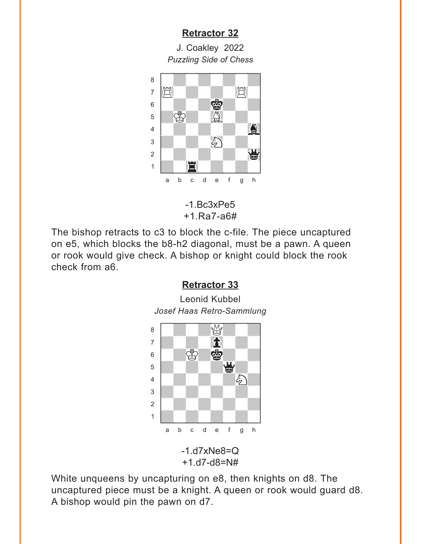<span id="page-9-0"></span>J. Coakley 2022 *Puzzling Side of Chess*



-1.Bc3xPe5 +1.Ra7-a6#

The bishop retracts to c3 to block the c-file. The piece uncaptured on e5, which blocks the b8-h2 diagonal, must be a pawn. A queen or rook would give check. A bishop or knight could block the rook check from a6.

#### **[Retractor 33](#page-2-0)**

Leonid Kubbel *Josef Haas Retro-Sammlung* w\_\_\_\_\_\_\_\_w



White unqueens by uncapturing on e8, then knights on d8. The uncaptured piece must be a knight. A queen or rook would guard d8. A bishop would pin the pawn on d7.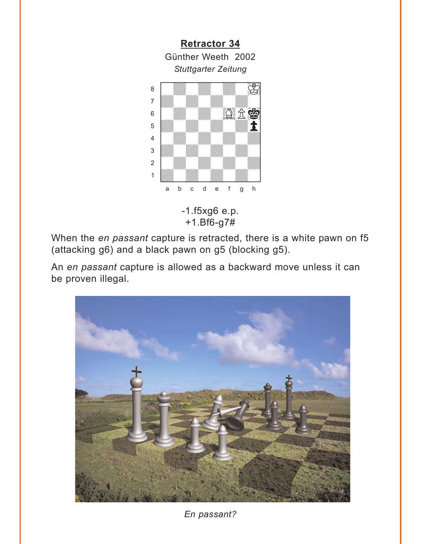<span id="page-10-0"></span>

+1.Bf6-g7#

When the *en passant* capture is retracted, there is a white pawn on f5 (attacking g6) and a black pawn on g5 (blocking g5).

An *en passant* capture is allowed as a backward move unless it can be proven illegal.



*En passant?*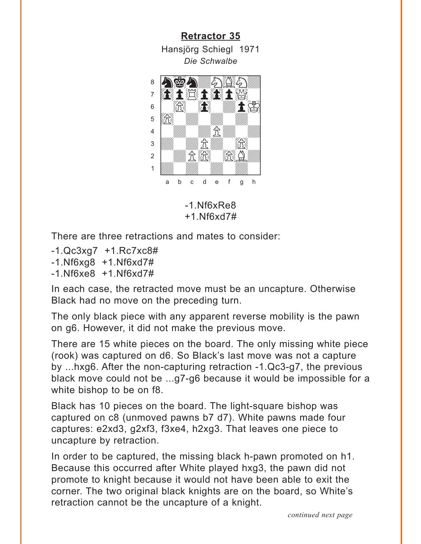<span id="page-11-0"></span>**[Retractor 35](#page-4-0)** Hansjörg Schiegl 1971 *Die Schwalbe* where  $\frac{1}{2}$  is the commute



-1.Nf6xRe8 +1.Nf6xd7#

There are three retractions and mates to consider:

- -1.Qc3xg7 +1.Rc7xc8#
- -1.Nf6xg8 +1.Nf6xd7#
- -1.Nf6xe8 +1.Nf6xd7#

In each case, the retracted move must be an uncapture. Otherwise Black had no move on the preceding turn.

The only black piece with any apparent reverse mobility is the pawn on g6. However, it did not make the previous move.

There are 15 white pieces on the board. The only missing white piece (rook) was captured on d6. So Black's last move was not a capture by ...hxg6. After the non-capturing retraction -1.Qc3-g7, the previous black move could not be ...g7-g6 because it would be impossible for a white bishop to be on f8.

Black has 10 pieces on the board. The light-square bishop was captured on c8 (unmoved pawns b7 d7). White pawns made four captures: e2xd3, g2xf3, f3xe4, h2xg3. That leaves one piece to uncapture by retraction.

In order to be captured, the missing black h-pawn promoted on h1. Because this occurred after White played hxg3, the pawn did not promote to knight because it would not have been able to exit the corner. The two original black knights are on the board, so White's retraction cannot be the uncapture of a knight.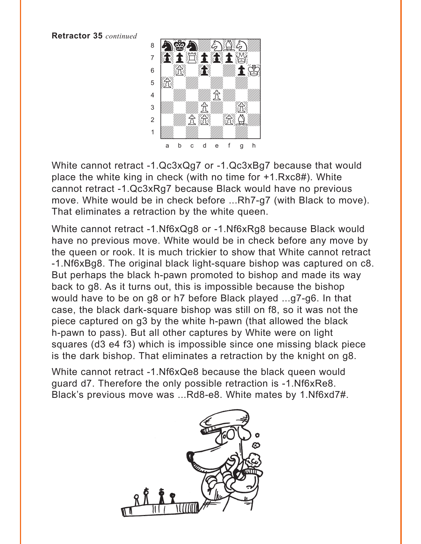**Retractor 35** *continued*



White cannot retract -1.Qc3xQg7 or -1.Qc3xBg7 because that would place the white king in check (with no time for +1.Rxc8#). White cannot retract -1.Qc3xRg7 because Black would have no previous move. White would be in check before ...Rh7-g7 (with Black to move). That eliminates a retraction by the white queen.

White cannot retract -1.Nf6xQg8 or -1.Nf6xRg8 because Black would have no previous move. White would be in check before any move by the queen or rook. It is much trickier to show that White cannot retract -1.Nf6xBg8. The original black light-square bishop was captured on c8. But perhaps the black h-pawn promoted to bishop and made its way back to g8. As it turns out, this is impossible because the bishop would have to be on g8 or h7 before Black played ...g7-g6. In that case, the black dark-square bishop was still on f8, so it was not the piece captured on g3 by the white h-pawn (that allowed the black h-pawn to pass). But all other captures by White were on light squares (d3 e4 f3) which is impossible since one missing black piece is the dark bishop. That eliminates a retraction by the knight on g8.

White cannot retract -1.Nf6xQe8 because the black queen would guard d7. Therefore the only possible retraction is -1.Nf6xRe8. Black's previous move was ...Rd8-e8. White mates by 1.Nf6xd7#.

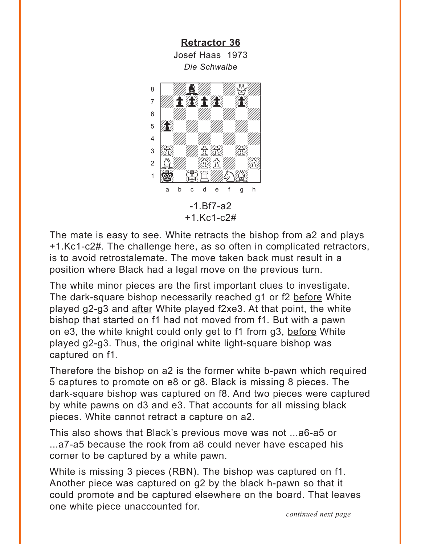**Retractor 36** Josef Haas 1973 Die Schwalbe

<span id="page-13-0"></span>

The mate is easy to see. White retracts the bishop from a2 and plays +1.Kc1-c2#. The challenge here, as so often in complicated retractors, is to avoid retrostalemate. The move taken back must result in a position where Black had a legal move on the previous turn.

The white minor pieces are the first important clues to investigate. The dark-square bishop necessarily reached g1 or f2 before White played g2-g3 and after White played f2xe3. At that point, the white bishop that started on f1 had not moved from f1. But with a pawn on e3, the white knight could only get to f1 from g3, before White played g2-g3. Thus, the original white light-square bishop was captured on f1.

Therefore the bishop on a2 is the former white b-pawn which required 5 captures to promote on e8 or g8. Black is missing 8 pieces. The dark-square bishop was captured on f8. And two pieces were captured by white pawns on d3 and e3. That accounts for all missing black pieces. White cannot retract a capture on a2.

This also shows that Black's previous move was not ...a6-a5 or ...a7-a5 because the rook from a8 could never have escaped his corner to be captured by a white pawn.

White is missing 3 pieces (RBN). The bishop was captured on f1. Another piece was captured on g2 by the black h-pawn so that it could promote and be captured elsewhere on the board. That leaves one white piece unaccounted for.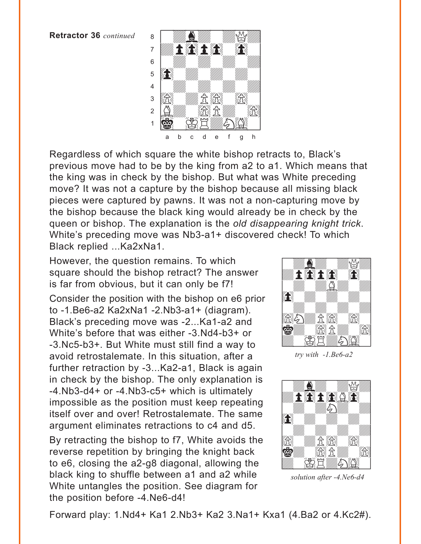**Retractor 36** *continued*



Regardless of which square the white bishop retracts to, Black's previous move had to be by the king from a2 to a1. Which means that the king was in check by the bishop. But what was White preceding move? It was not a capture by the bishop because all missing black pieces were captured by pawns. It was not a non-capturing move by the bishop because the black king would already be in check by the queen or bishop. The explanation is the *old disappearing knight trick*. White's preceding move was Nb3-a1+ discovered check! To which Black replied ...Ka2xNa1.

However, the question remains. To which square should the bishop retract? The answer is far from obvious, but it can only be f7!

Consider the position with the bishop on e6 prior to -1.Be6-a2 Ka2xNa1 -2.Nb3-a1+ (diagram). Black's preceding move was -2...Ka1-a2 and White's before that was either -3.Nd4-b3+ or -3.Nc5-b3+. But White must still find a way to avoid retrostalemate. In this situation, after a further retraction by -3...Ka2-a1, Black is again in check by the bishop. The only explanation is -4.Nb3-d4+ or -4.Nb3-c5+ which is ultimately impossible as the position must keep repeating itself over and over! Retrostalemate. The same argument eliminates retractions to c4 and d5.

By retracting the bishop to f7, White avoids the reverse repetition by bringing the knight back to e6, closing the a2-g8 diagonal, allowing the black king to shuffle between a1 and a2 while White untangles the position. See diagram for the position before -4.Ne6-d4!



*try with -1.Be6-a2* 



*solution after -4.Ne6-d4* 

Forward play: 1.Nd4+ Ka1 2.Nb3+ Ka2 3.Na1+ Kxa1 (4.Ba2 or 4.Kc2#).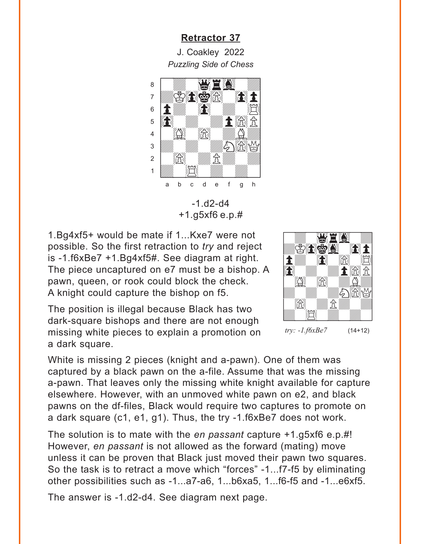J. Coakley 2022 *Puzzling Side of Chess*

<span id="page-15-0"></span>

-1.d2-d4 +1.g5xf6 e.p.#

1.Bg4xf5+ would be mate if 1...Kxe7 were not possible. So the first retraction to *try* and reject is -1.f6xBe7 +1.Bg4xf5#. See diagram at right. The piece uncaptured on e7 must be a bishop. A pawn, queen, or rook could block the check. A knight could capture the bishop on f5.

The position is illegal because Black has two dark-square bishops and there are not enough missing white pieces to explain a promotion on a dark square.



White is missing 2 pieces (knight and a-pawn). One of them was captured by a black pawn on the a-file. Assume that was the missing a-pawn. That leaves only the missing white knight available for capture elsewhere. However, with an unmoved white pawn on e2, and black pawns on the df-files, Black would require two captures to promote on a dark square (c1, e1, g1). Thus, the try -1.f6xBe7 does not work.

The solution is to mate with the *en passant* capture +1.g5xf6 e.p.#! However, *en passant* is not allowed as the forward (mating) move unless it can be proven that Black just moved their pawn two squares. So the task is to retract a move which "forces" -1...f7-f5 by eliminating other possibilities such as -1...a7-a6, 1...b6xa5, 1...f6-f5 and -1...e6xf5.

The answer is -1.d2-d4. See diagram next page.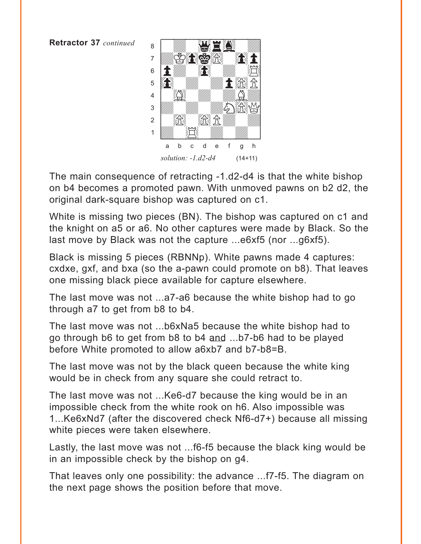**Retractor 37** *continued*



The main consequence of retracting -1.d2-d4 is that the white bishop on b4 becomes a promoted pawn. With unmoved pawns on b2 d2, the original dark-square bishop was captured on c1.

White is missing two pieces (BN). The bishop was captured on c1 and the knight on a5 or a6. No other captures were made by Black. So the last move by Black was not the capture ...e6xf5 (nor ...g6xf5).

Black is missing 5 pieces (RBNNp). White pawns made 4 captures: cxdxe, gxf, and bxa (so the a-pawn could promote on b8). That leaves one missing black piece available for capture elsewhere.

The last move was not ...a7-a6 because the white bishop had to go through a7 to get from b8 to b4.

The last move was not ...b6xNa5 because the white bishop had to go through b6 to get from b8 to b4 and ...b7-b6 had to be played before White promoted to allow a6xb7 and b7-b8=B.

The last move was not by the black queen because the white king would be in check from any square she could retract to.

The last move was not ...Ke6-d7 because the king would be in an impossible check from the white rook on h6. Also impossible was 1...Ke6xNd7 (after the discovered check Nf6-d7+) because all missing white pieces were taken elsewhere.

Lastly, the last move was not ...f6-f5 because the black king would be in an impossible check by the bishop on g4.

That leaves only one possibility: the advance ...f7-f5. The diagram on the next page shows the position before that move.